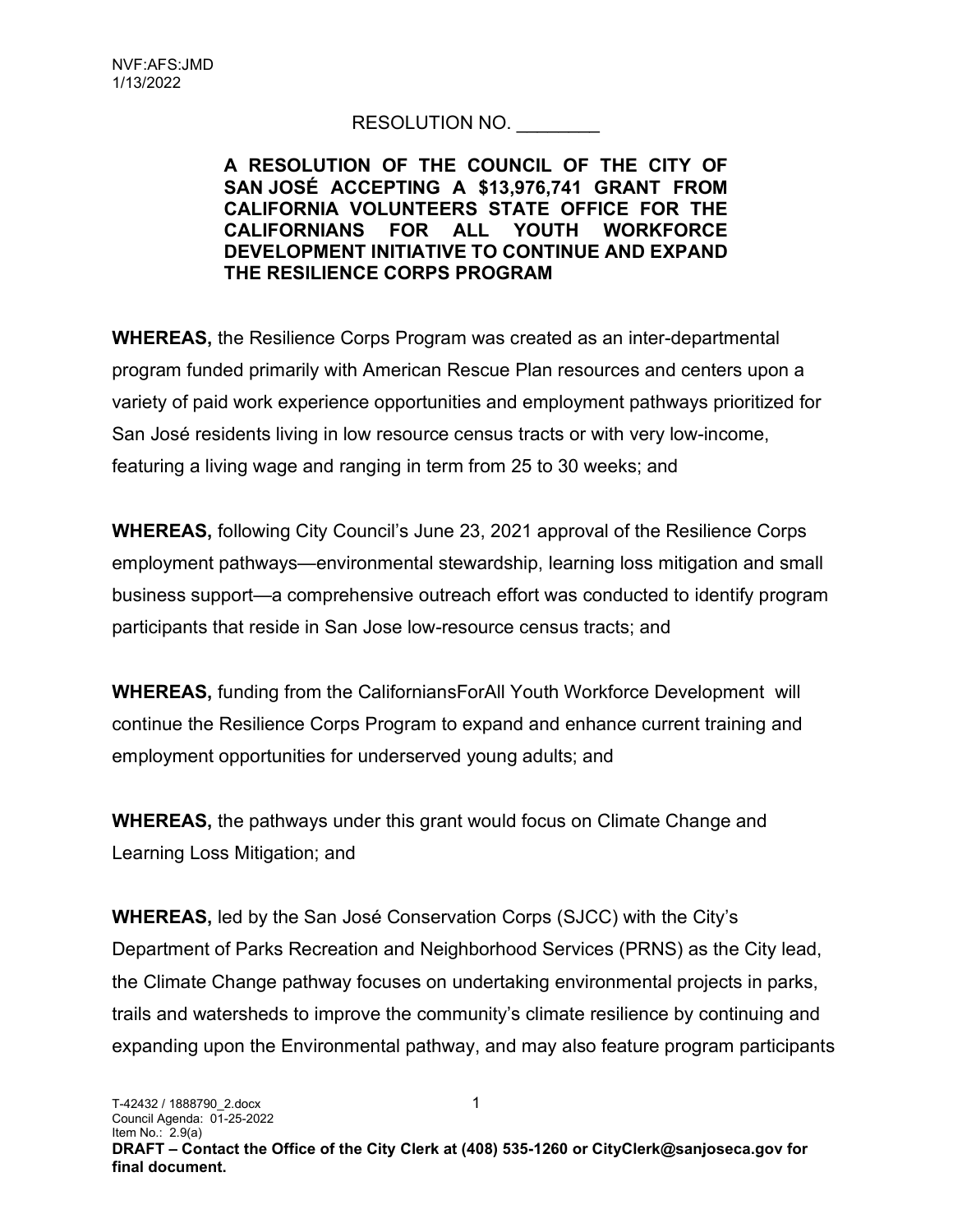## RESOLUTION NO. \_\_\_\_\_\_\_\_

## A RESOLUTION OF THE COUNCIL OF THE CITY OF SAN JOSÉ ACCEPTING A \$13,976,741 GRANT FROM CALIFORNIA VOLUNTEERS STATE OFFICE FOR THE CALIFORNIANS FOR ALL YOUTH WORKFORCE DEVELOPMENT INITIATIVE TO CONTINUE AND EXPAND THE RESILIENCE CORPS PROGRAM

WHEREAS, the Resilience Corps Program was created as an inter-departmental program funded primarily with American Rescue Plan resources and centers upon a variety of paid work experience opportunities and employment pathways prioritized for San José residents living in low resource census tracts or with very low-income, featuring a living wage and ranging in term from 25 to 30 weeks; and

WHEREAS, following City Council's June 23, 2021 approval of the Resilience Corps employment pathways—environmental stewardship, learning loss mitigation and small business support—a comprehensive outreach effort was conducted to identify program participants that reside in San Jose low-resource census tracts; and

WHEREAS, funding from the CaliforniansForAll Youth Workforce Development will continue the Resilience Corps Program to expand and enhance current training and employment opportunities for underserved young adults; and

WHEREAS, the pathways under this grant would focus on Climate Change and Learning Loss Mitigation; and

WHEREAS, led by the San José Conservation Corps (SJCC) with the City's Department of Parks Recreation and Neighborhood Services (PRNS) as the City lead, the Climate Change pathway focuses on undertaking environmental projects in parks, trails and watersheds to improve the community's climate resilience by continuing and expanding upon the Environmental pathway, and may also feature program participants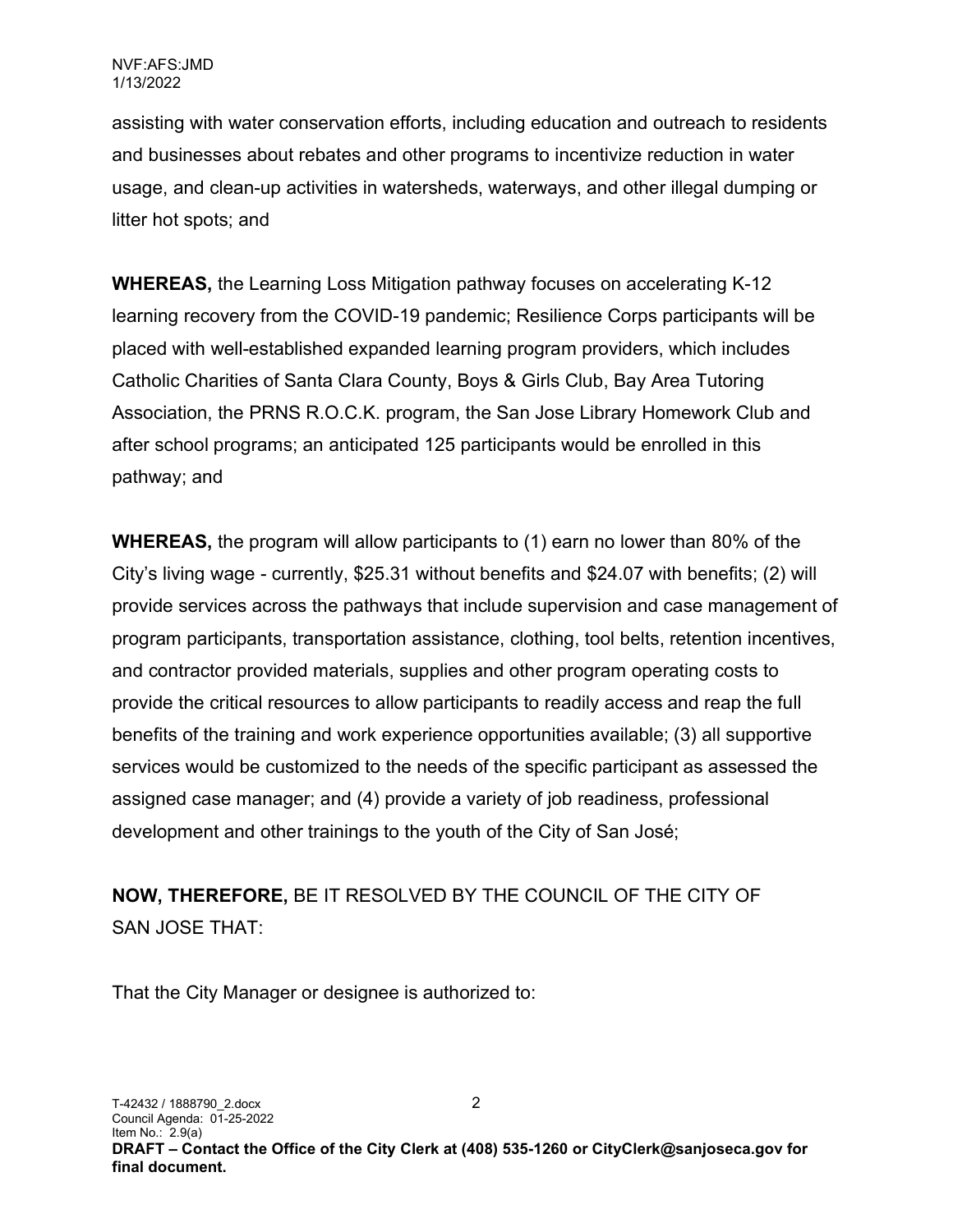assisting with water conservation efforts, including education and outreach to residents and businesses about rebates and other programs to incentivize reduction in water usage, and clean-up activities in watersheds, waterways, and other illegal dumping or litter hot spots; and

WHEREAS, the Learning Loss Mitigation pathway focuses on accelerating K-12 learning recovery from the COVID-19 pandemic; Resilience Corps participants will be placed with well-established expanded learning program providers, which includes Catholic Charities of Santa Clara County, Boys & Girls Club, Bay Area Tutoring Association, the PRNS R.O.C.K. program, the San Jose Library Homework Club and after school programs; an anticipated 125 participants would be enrolled in this pathway; and

WHEREAS, the program will allow participants to (1) earn no lower than 80% of the City's living wage - currently, \$25.31 without benefits and \$24.07 with benefits; (2) will provide services across the pathways that include supervision and case management of program participants, transportation assistance, clothing, tool belts, retention incentives, and contractor provided materials, supplies and other program operating costs to provide the critical resources to allow participants to readily access and reap the full benefits of the training and work experience opportunities available; (3) all supportive services would be customized to the needs of the specific participant as assessed the assigned case manager; and (4) provide a variety of job readiness, professional development and other trainings to the youth of the City of San José;

NOW, THEREFORE, BE IT RESOLVED BY THE COUNCIL OF THE CITY OF SAN JOSE THAT:

That the City Manager or designee is authorized to: